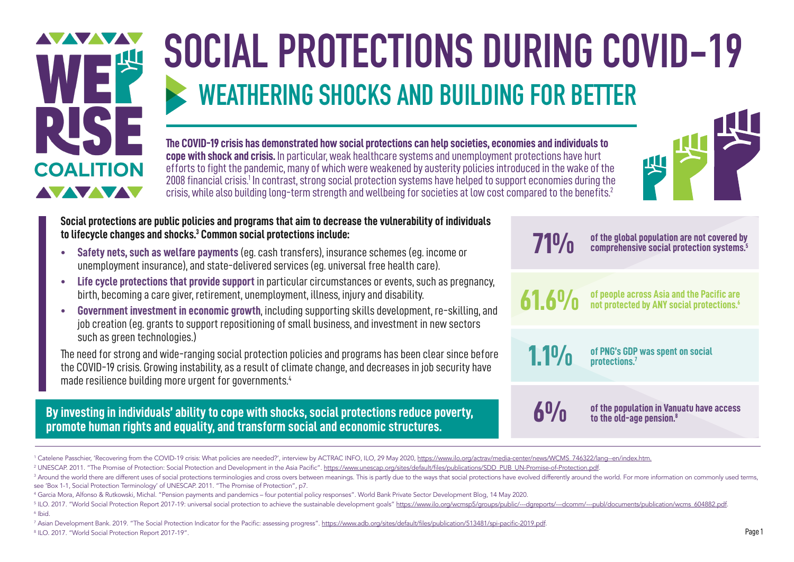

# **SOCIAL PROTECTIONS DURING COVID-19 WEATHERING SHOCKS AND BUILDING FOR BETTER**

**The COVID-19 crisis has demonstrated how social protections can help societies, economies and individuals to cope with shock and crisis.** In particular, weak healthcare systems and unemployment protections have hurt efforts to fight the pandemic, many of which were weakened by austerity policies introduced in the wake of the 2008 financial crisis.<sup>1</sup> In contrast, strong social protection systems have helped to support economies during the crisis, while also building long-term strength and wellbeing for societies at low cost compared to the benefits.2



**Social protections are public policies and programs that aim to decrease the vulnerability of individuals to lifecycle changes and shocks.3 Common social protections include:**

- **• Safety nets, such as welfare payments** (eg. cash transfers), insurance schemes (eg. income or unemployment insurance), and state-delivered services (eg. universal free health care).
- **• Life cycle protections that provide support** in particular circumstances or events, such as pregnancy, birth, becoming a care giver, retirement, unemployment, illness, injury and disability.
- **• Government investment in economic growth**, including supporting skills development, re-skilling, and job creation (eg. grants to support repositioning of small business, and investment in new sectors such as green technologies.)

The need for strong and wide-ranging social protection policies and programs has been clear since before the COVID-19 crisis. Growing instability, as a result of climate change, and decreases in job security have made resilience building more urgent for governments.<sup>4</sup>

#### **By investing in individuals' ability to cope with shocks, social protections reduce poverty, promote human rights and equality, and transform social and economic structures.**

**71%**

**of the global population are not covered by comprehensive social protection systems.5**

**61.6%**

**of people across Asia and the Pacific are not protected by ANY social protections.6**

**of PNG's GDP was spent on social protections.7 1.1%**

**6%**

**of the population in Vanuatu have access to the old-age pension.8**

<sup>7</sup> Asian Development Bank. 2019. "The Social Protection Indicator for the Pacific: assessing progress". <u>https://www.adb.org/sites/default/files/publication/513481/spi-pacific-2019.pdf</u>. 8 ILO. 2017. "World Social Protection Report 2017-19".

<sup>&</sup>lt;sup>1</sup> Catelene Passchier, 'Recovering from the COVID-19 crisis: What policies are needed?', interview by ACTRAC INFO, ILO, 29 May 2020, <u>[https://www.ilo.org/actrav/media-center/news/WCMS\\_746322/lang--en/index.htm](https://www.ilo.org/actrav/media-center/news/WCMS_746322/lang--en/index.htm).</u>

<sup>&</sup>lt;sup>2</sup> UNESCAP. 2011. "The Promise of Protection: Social Protection and Development in the Asia Pacific". <u>https://www.unescap.org/sites/default/files/publications/SDD\_PUB\_UN-Promise-of-Protection.pdf.</u>

<sup>&</sup>lt;sup>3</sup> Around the world there are different uses of social protections terminologies and cross overs between meanings. This is partly due to the ways that social protections have evolved differently around the world. For more see 'Box 1-1, Social Protection Terminology' of UNESCAP. 2011. "The Promise of Protection", p7.

<sup>4</sup> Garcia Mora, Alfonso & Rutkowski, Michal. "Pension payments and pandemics – four potential policy responses". World Bank Private Sector Development Blog, 14 May 2020.

<sup>&</sup>lt;sup>5</sup> ILO. 2017. "World Social Protection Report 2017-19: universal social protection to achieve the sustainable development goals" <u>https://www.ilo.org/wcmsp5/groups/public/---dgreports/---dcomm/---publ/documents/publicatio</u> 6 Ibid.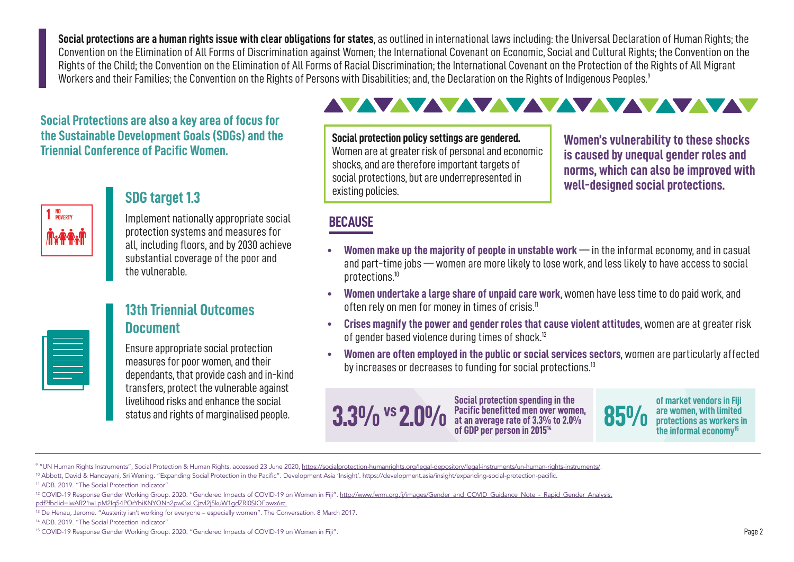**Social protections are a human rights issue with clear obligations for states**, as outlined in international laws including: the Universal Declaration of Human Rights; the Convention on the Elimination of All Forms of Discrimination against Women; the International Covenant on Economic, Social and Cultural Rights; the Convention on the Rights of the Child; the Convention on the Elimination of All Forms of Racial Discrimination; the International Covenant on the Protection of the Rights of All Migrant Workers and their Families; the Convention on the Rights of Persons with Disabilities; and, the Declaration on the Rights of Indigenous Peoples.<sup>9</sup>

**Social Protections are also a key area of focus for the Sustainable Development Goals (SDGs) and the Triennial Conference of Pacific Women.**



### **SDG target 1.3**

Implement nationally appropriate social protection systems and measures for all, including floors, and by 2030 achieve substantial coverage of the poor and the vulnerable.

| —   |         |  |
|-----|---------|--|
| ___ | _______ |  |
|     |         |  |

### **13th Triennial Outcomes Document**

Ensure appropriate social protection measures for poor women, and their dependants, that provide cash and in-kind transfers, protect the vulnerable against livelihood risks and enhance the social status and rights of marginalised people.

### AVAVAVAVAVAVAVAVA

**Social protection policy settings are gendered.** Women are at greater risk of personal and economic shocks, and are therefore important targets of social protections, but are underrepresented in existing policies.

**Women's vulnerability to these shocks is caused by unequal gender roles and norms, which can also be improved with well-designed social protections.**

### **BECAUSE**

- **• Women make up the majority of people in unstable work** –– in the informal economy, and in casual and part-time jobs –– women are more likely to lose work, and less likely to have access to social protections.10
- **• Women undertake a large share of unpaid care work**, women have less time to do paid work, and often rely on men for money in times of crisis.<sup>11</sup>
- **• Crises magnify the power and gender roles that cause violent attitudes**, women are at greater risk of gender based violence during times of shock.<sup>12</sup>
- **• Women are often employed in the public or social services sectors**, women are particularly affected by increases or decreases to funding for social protections.<sup>13</sup>



**of market vendors in Fiji are women, with limited protections as workers in the informal economy15**

<sup>&</sup>lt;sup>9</sup> "UN Human Rights Instruments", Social Protection & Human Rights, accessed 23 June 2020, <u><https://socialprotection-humanrights.org/legal-depository/legal-instruments/un-human-rights-instruments/>.</u>

<sup>&</sup>lt;sup>10</sup> Abbott, David & Handayani, Sri Wening. "Expanding Social Protection in the Pacific". Development Asia 'Insight'. https://development.asia/insight/expanding-social-protection-pacific.

<sup>&</sup>lt;sup>11</sup> ADB. 2019. "The Social Protection Indicator"

<sup>&</sup>lt;sup>12</sup> COVID-19 Response Gender Working Group. 2020. "Gendered Impacts of COVID-19 on Women in Fiji". [http://www.fwrm.org.fj/images/Gender\\_and\\_COVID\\_Guidance\\_Note\\_-\\_Rapid\\_Gender\\_Analysis.](http://www.fwrm.org.fj/images/Gender_and_COVID_Guidance_Note_-_Rapid_Gender_Analysis.pdf?fbclid=IwAR21wLpM2Iq54POrYbiKNYQNn2pwGxLCjzvl2j5kuW1gdZRl0SIQFbwx6rc.) pdf?fbclid=IwAR21wLpM2Iq54POrYbiKNYQNn2pwGxLCjzvl2j5kuW1gdZRl0SIQFbwx6rc.

<sup>13</sup> De Henau, Jerome. "Austerity isn't working for everyone – especially women". The Conversation. 8 March 2017.

<sup>&</sup>lt;sup>14</sup> ADB. 2019. "The Social Protection Indicator"

<sup>15</sup> COVID-19 Response Gender Working Group. 2020. "Gendered Impacts of COVID-19 on Women in Fiji".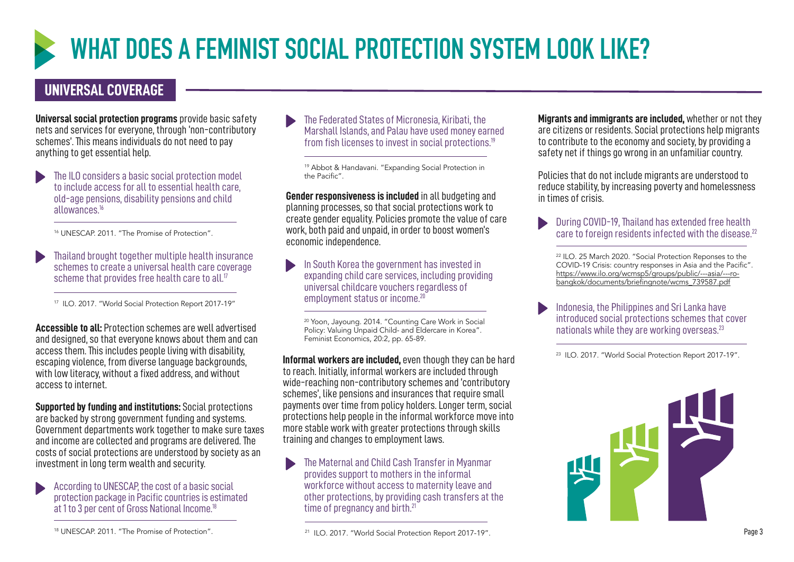

## **WHAT DOES A FEMINIST SOCIAL PROTECTION SYSTEM LOOK LIKE?**

### **UNIVERSAL COVERAGE**

**Universal social protection programs** provide basic safety nets and services for everyone, through 'non-contributory schemes'. This means individuals do not need to pay anything to get essential help.

The ILO considers a basic social protection model to include access for all to essential health care, old-age pensions, disability pensions and child allowances.16

<sup>16</sup> UNESCAP. 2011. "The Promise of Protection".

Thailand brought together multiple health insurance schemes to create a universal health care coverage scheme that provides free health care to all.<sup>17</sup>

<sup>17</sup> ILO. 2017. "World Social Protection Report 2017-19"

**Accessible to all:** Protection schemes are well advertised and designed, so that everyone knows about them and can access them. This includes people living with disability, escaping violence, from diverse language backgrounds, with low literacy, without a fixed address, and without access to internet.

**Supported by funding and institutions:** Social protections are backed by strong government funding and systems. Government departments work together to make sure taxes and income are collected and programs are delivered. The costs of social protections are understood by society as an investment in long term wealth and security.

According to UNESCAP, the cost of a basic social protection package in Pacific countries is estimated at 1 to 3 per cent of Gross National Income.18

The Federated States of Micronesia, Kiribati, the Marshall Islands, and Palau have used money earned from fish licenses to invest in social protections.<sup>19</sup>

19 Abbot & Handavani. "Expanding Social Protection in the Pacific".

**Gender responsiveness is included** in all budgeting and planning processes, so that social protections work to create gender equality. Policies promote the value of care work, both paid and unpaid, in order to boost women's economic independence.

In South Korea the government has invested in expanding child care services, including providing universal childcare vouchers regardless of employment status or income.<sup>20</sup>

<sup>20</sup> Yoon, Jayoung. 2014. "Counting Care Work in Social Policy: Valuing Unpaid Child- and Eldercare in Korea". Feminist Economics, 20:2, pp. 65-89.

**Informal workers are included,** even though they can be hard to reach. Initially, informal workers are included through wide-reaching non-contributory schemes and 'contributory schemes', like pensions and insurances that require small payments over time from policy holders. Longer term, social protections help people in the informal workforce move into more stable work with greater protections through skills training and changes to employment laws.

The Maternal and Child Cash Transfer in Myanmar provides support to mothers in the informal workforce without access to maternity leave and other protections, by providing cash transfers at the time of pregnancy and birth.<sup>21</sup>

**Migrants and immigrants are included,** whether or not they are citizens or residents. Social protections help migrants to contribute to the economy and society, by providing a safety net if things go wrong in an unfamiliar country.

Policies that do not include migrants are understood to reduce stability, by increasing poverty and homelessness in times of crisis.

During COVID-19, Thailand has extended free health care to foreign residents infected with the disease.<sup>22</sup>

22 ILO. 25 March 2020. "Social Protection Reponses to the COVID-19 Crisis: country responses in Asia and the Pacific". [https://www.ilo.org/wcmsp5/groups/public/---asia/---ro](https://www.ilo.org/wcmsp5/groups/public/---asia/---ro-bangkok/documents/briefingnote/wcms_739587.pdf)[bangkok/documents/briefingnote/wcms\\_739587.pdf](https://www.ilo.org/wcmsp5/groups/public/---asia/---ro-bangkok/documents/briefingnote/wcms_739587.pdf)

Indonesia, the Philippines and Sri Lanka have introduced social protections schemes that cover nationals while they are working overseas.<sup>23</sup>

<sup>23</sup> ILO. 2017. "World Social Protection Report 2017-19".



<sup>18</sup> UNESCAP. 2011. "The Promise of Protection".

<sup>21</sup> ILO. 2017. "World Social Protection Report 2017-19".